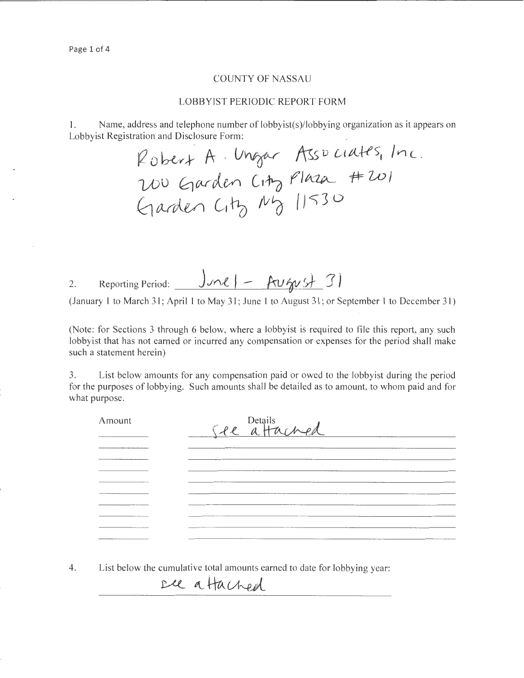### COUNTY OF NASSAU

#### LOBBYIST PERIODIC REPORT FORM

I. Name, address and telephone number of lobbyist(s)/lobbying organization as it appears on Lobbyist Registration and Disclosure Form:

 $R_{\text{obert}}$  A . Ungar Associates, Inc.  $700$  Garden City Plaza #201  $40$  ander City  $N_0$  11530

2. Reporting Period:  $J_{\text{ML}}$  | - August 31

(January I to March 31; April I to May 31; June I to August 31; or September I to December 31)

(Note: for Sections 3 through 6 below, where a lobbyist is required to file this report, any such lobbyist that has not earned or incurred any compensation or expenses for the period shall make such a statement herein)

3. List below amounts for any compensation paid or owed to the lobbyist during the period for the purposes of lobbying. Such amounts shall be detailed as to amount, to whom paid and for what purpose.

| Amount                                                                       | See attached                                  |
|------------------------------------------------------------------------------|-----------------------------------------------|
|                                                                              |                                               |
| www.communication.com                                                        |                                               |
|                                                                              |                                               |
|                                                                              | ___________                                   |
|                                                                              |                                               |
| <b>CONTRACTOR</b>                                                            |                                               |
|                                                                              |                                               |
|                                                                              | <b>NEW ARRANGEMENT CONTROL COMMENTARY AND</b> |
| the party in the first party of the control of the control of the control of | ____                                          |

4. List below the cumulative total amounts earned to date for lobbying year:

ece a Hached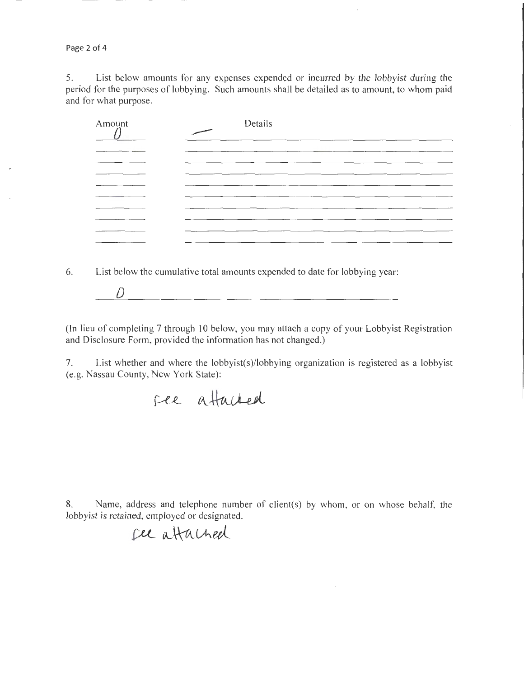Page 2 of 4

5. List below amounts for any expenses expended or incurred by the lobbyist during the period for the purposes of lobbying. Such amounts shall be detailed as to amount, to whom paid and for what purpose.

| Amount | Details<br>$\overline{\phantom{0}}$ |
|--------|-------------------------------------|
|        | ___                                 |
| ____   |                                     |
|        |                                     |
| ___    | ______                              |
|        |                                     |
|        |                                     |

6. List below the cumulative total amounts expended to date for lobbying year:

*D* 

(In lieu of completing 7 through 10 below, you may attach a copy of your Lobbyist Registration and Disclosure Form, provided the information has not changed.)

7. List whether and where the lobbyist(s)/lobbying organization is registered as a lobbyist (e.g. Nassau County, New York State):

8. Name, address and telephone number of client(s) by whom, or on whose behalf, the lobbyist is retained, employed or designated.

**{X-L** Vv~CAu(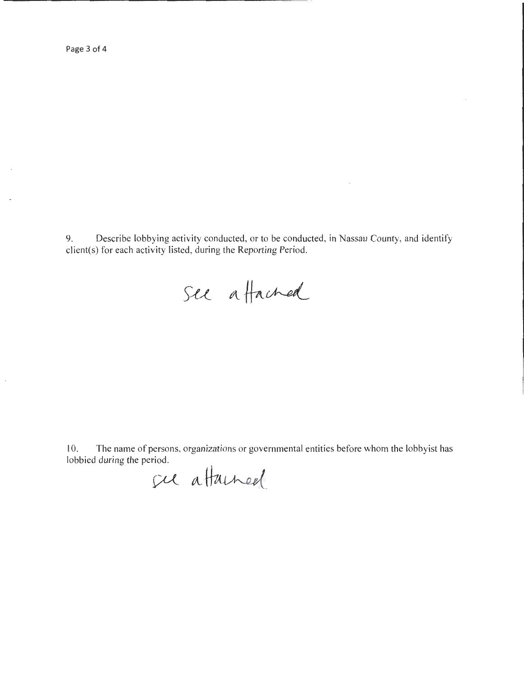Page 3 of 4

9. Describe lobbying activity conducted, or to be conducted, in Nassau County, and identify client(s) for each activity listed, during the Reporting Period.

See a Hached

I 0. The name of persons, organizations or governmental entities before whom the lobbyist has lobbied during the period.

fu attained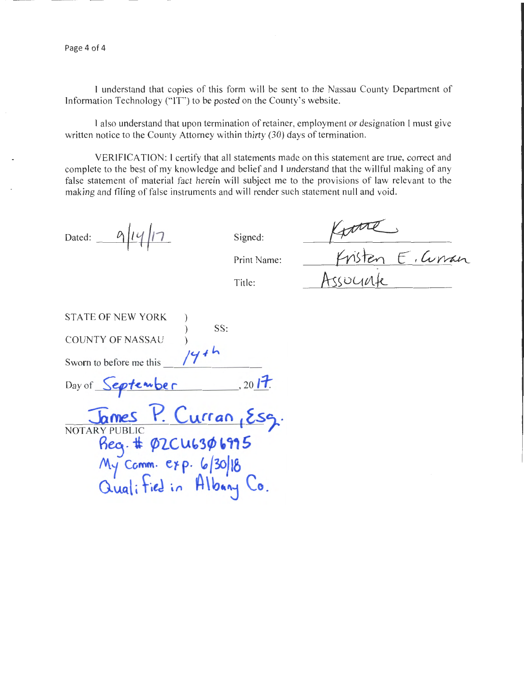I understand that copies of this form will be sent to the Nassau County Department of Information Technology ("IT") to be posted on the County's website.

I also understand that upon termination of retainer, employment or designation I must give written notice to the County Attorney within thirty (30) days of termination.

VERIFICATION: I certify that all statements made on this statement are true, correct and complete to the best of my knowledge and belief and I understand that the willful making of any false statement of material fact herein will subject me to the provisions of law relevant to the making and filing of false instruments and will render such statement null and void.

Dated:  $\frac{\alpha}{\alpha}$ || $\frac{1}{\alpha}$  Signed:

Print Name:

Title:

 $K$ <sup>1</sup> *C, Curran* Assuunte

| <b>STATE OF NEW YORK</b> |                                                                        |
|--------------------------|------------------------------------------------------------------------|
|                          | SS:                                                                    |
| <b>COUNTY OF NASSAU</b>  |                                                                        |
| Sworn to before me this  | 144h                                                                   |
| Day of September         | , 2017.                                                                |
|                          | James P. Curran, Esg.                                                  |
| <b>NOTARY PUBLIC</b>     |                                                                        |
|                          |                                                                        |
|                          |                                                                        |
|                          | Reg. # 02CU6306975<br>My Comm. exp. 6/30/18<br>Qualified in Albany Co. |
|                          |                                                                        |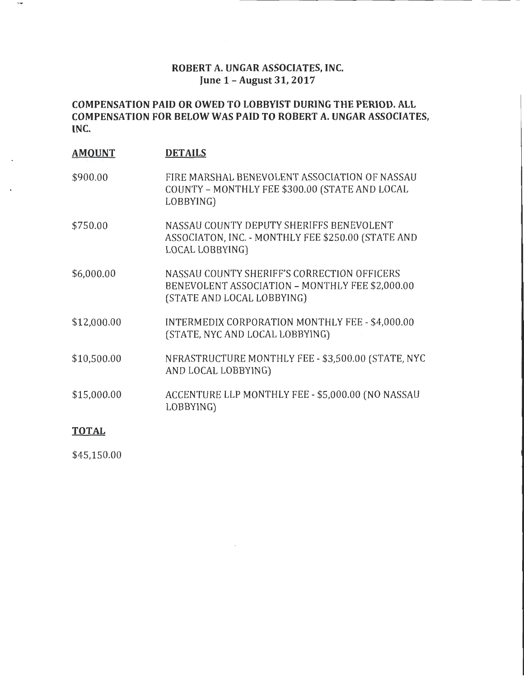# **ROBERT A. UNGAR ASSOCIATES, INC. June 1- August 31,2017**

# **COMPENSATION PAID OR OWED TO LOBBYIST DURING THE PERIOD. ALL COMPENSATION FOR BELOW WAS PAID TO ROBERT A. UNGAR ASSOCIATES, INC.**

| <b>AMOUNT</b> | <b>DETAILS</b>                                                                                                               |
|---------------|------------------------------------------------------------------------------------------------------------------------------|
| \$900.00      | FIRE MARSHAL BENEVOLENT ASSOCIATION OF NASSAU<br>COUNTY - MONTHLY FEE \$300.00 (STATE AND LOCAL<br>LOBBYING)                 |
| \$750.00      | NASSAU COUNTY DEPUTY SHERIFFS BENEVOLENT<br>ASSOCIATON, INC. - MONTHLY FEE \$250.00 (STATE AND<br>LOCAL LOBBYING)            |
| \$6,000.00    | NASSAU COUNTY SHERIFF'S CORRECTION OFFICERS<br>BENEVOLENT ASSOCIATION - MONTHLY FEE \$2,000.00<br>(STATE AND LOCAL LOBBYING) |
| \$12,000.00   | INTERMEDIX CORPORATION MONTHLY FEE - \$4,000.00<br>(STATE, NYC AND LOCAL LOBBYING)                                           |
| \$10,500.00   | NFRASTRUCTURE MONTHLY FEE - \$3,500.00 (STATE, NYC<br>AND LOCAL LOBBYING)                                                    |
| \$15,000.00   | ACCENTURE LLP MONTHLY FEE - \$5,000.00 (NO NASSAU<br>LOBBYING)                                                               |
| <b>TOTAL</b>  |                                                                                                                              |

\$45,150.00

 $\overline{\phantom{a}}$